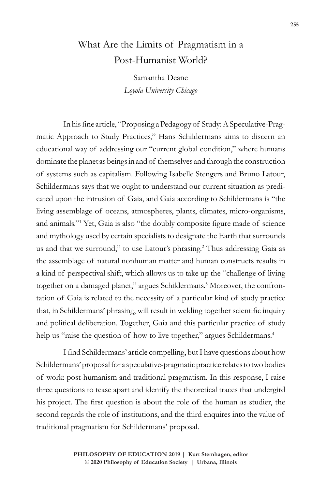## What Are the Limits of Pragmatism in a Post-Humanist World?

Samantha Deane *Loyola University Chicago*

In his fine article, "Proposing a Pedagogy of Study: A Speculative-Pragmatic Approach to Study Practices," Hans Schildermans aims to discern an educational way of addressing our "current global condition," where humans dominate the planet as beings in and of themselves and through the construction of systems such as capitalism. Following Isabelle Stengers and Bruno Latour, Schildermans says that we ought to understand our current situation as predicated upon the intrusion of Gaia, and Gaia according to Schildermans is "the living assemblage of oceans, atmospheres, plants, climates, micro-organisms, and animals."<sup>1</sup> Yet, Gaia is also "the doubly composite figure made of science and mythology used by certain specialists to designate the Earth that surrounds us and that we surround," to use Latour's phrasing.<sup>2</sup> Thus addressing Gaia as the assemblage of natural nonhuman matter and human constructs results in a kind of perspectival shift, which allows us to take up the "challenge of living together on a damaged planet," argues Schildermans.<sup>3</sup> Moreover, the confrontation of Gaia is related to the necessity of a particular kind of study practice that, in Schildermans' phrasing, will result in welding together scientific inquiry and political deliberation. Together, Gaia and this particular practice of study help us "raise the question of how to live together," argues Schildermans.<sup>4</sup>

I find Schildermans' article compelling, but I have questions about how Schildermans' proposal for a speculative-pragmatic practice relates to two bodies of work: post-humanism and traditional pragmatism. In this response, I raise three questions to tease apart and identify the theoretical traces that undergird his project. The first question is about the role of the human as studier, the second regards the role of institutions, and the third enquires into the value of traditional pragmatism for Schildermans' proposal.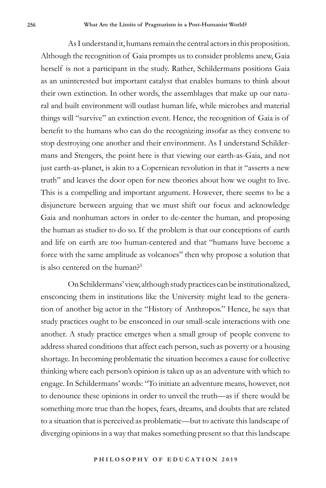As I understand it, humans remain the central actors in this proposition. Although the recognition of Gaia prompts us to consider problems anew, Gaia herself is not a participant in the study. Rather, Schildermans positions Gaia as an uninterested but important catalyst that enables humans to think about their own extinction. In other words, the assemblages that make up our natural and built environment will outlast human life, while microbes and material things will "survive" an extinction event. Hence, the recognition of Gaia is of benefit to the humans who can do the recognizing insofar as they convene to stop destroying one another and their environment. As I understand Schildermans and Stengers, the point here is that viewing our earth-as-Gaia, and not just earth-as-planet, is akin to a Copernican revolution in that it "asserts a new truth" and leaves the door open for new theories about how we ought to live. This is a compelling and important argument. However, there seems to be a disjuncture between arguing that we must shift our focus and acknowledge Gaia and nonhuman actors in order to de-center the human, and proposing the human as studier to do so. If the problem is that our conceptions of earth and life on earth are too human-centered and that "humans have become a force with the same amplitude as volcanoes" then why propose a solution that is also centered on the human?<sup>5</sup>

On Schildermans' view, although study practices can be institutionalized, ensconcing them in institutions like the University might lead to the generation of another big actor in the "History of Anthropos." Hence, he says that study practices ought to be ensconced in our small-scale interactions with one another. A study practice emerges when a small group of people convene to address shared conditions that affect each person, such as poverty or a housing shortage. In becoming problematic the situation becomes a cause for collective thinking where each person's opinion is taken up as an adventure with which to engage. In Schildermans' words: "To initiate an adventure means, however, not to denounce these opinions in order to unveil the truth—as if there would be something more true than the hopes, fears, dreams, and doubts that are related to a situation that is perceived as problematic—but to activate this landscape of diverging opinions in a way that makes something present so that this landscape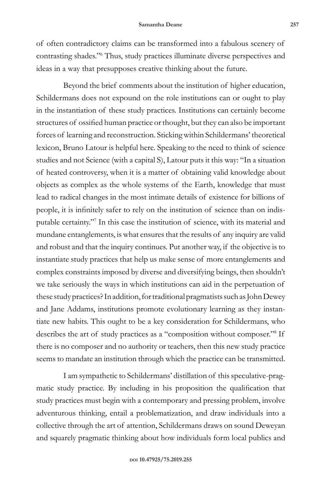of often contradictory claims can be transformed into a fabulous scenery of contrasting shades."<sup>6</sup> Thus, study practices illuminate diverse perspectives and ideas in a way that presupposes creative thinking about the future.

Beyond the brief comments about the institution of higher education, Schildermans does not expound on the role institutions can or ought to play in the instantiation of these study practices. Institutions can certainly become structures of ossified human practice or thought, but they can also be important forces of learning and reconstruction. Sticking within Schildermans' theoretical lexicon, Bruno Latour is helpful here. Speaking to the need to think of science studies and not Science (with a capital S), Latour puts it this way: "In a situation of heated controversy, when it is a matter of obtaining valid knowledge about objects as complex as the whole systems of the Earth, knowledge that must lead to radical changes in the most intimate details of existence for billions of people, it is infinitely safer to rely on the institution of science than on indisputable certainty."<sup>7</sup> In this case the institution of science, with its material and mundane entanglements, is what ensures that the results of any inquiry are valid and robust and that the inquiry continues. Put another way, if the objective is to instantiate study practices that help us make sense of more entanglements and complex constraints imposed by diverse and diversifying beings, then shouldn't we take seriously the ways in which institutions can aid in the perpetuation of these study practices? In addition, for traditional pragmatists such as John Dewey and Jane Addams, institutions promote evolutionary learning as they instantiate new habits. This ought to be a key consideration for Schildermans, who describes the art of study practices as a "composition without composer."<sup>8</sup> If there is no composer and no authority or teachers, then this new study practice seems to mandate an institution through which the practice can be transmitted.

I am sympathetic to Schildermans' distillation of this speculative-pragmatic study practice. By including in his proposition the qualification that study practices must begin with a contemporary and pressing problem, involve adventurous thinking, entail a problematization, and draw individuals into a collective through the art of attention, Schildermans draws on sound Deweyan and squarely pragmatic thinking about how individuals form local publics and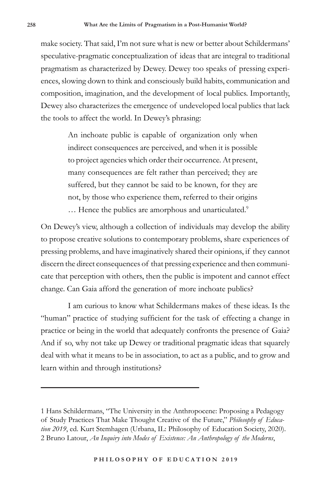make society. That said, I'm not sure what is new or better about Schildermans' speculative-pragmatic conceptualization of ideas that are integral to traditional pragmatism as characterized by Dewey. Dewey too speaks of pressing experiences, slowing down to think and consciously build habits, communication and composition, imagination, and the development of local publics. Importantly, Dewey also characterizes the emergence of undeveloped local publics that lack the tools to affect the world. In Dewey's phrasing:

> An inchoate public is capable of organization only when indirect consequences are perceived, and when it is possible to project agencies which order their occurrence. At present, many consequences are felt rather than perceived; they are suffered, but they cannot be said to be known, for they are not, by those who experience them, referred to their origins ... Hence the publics are amorphous and unarticulated.<sup>9</sup>

On Dewey's view, although a collection of individuals may develop the ability to propose creative solutions to contemporary problems, share experiences of pressing problems, and have imaginatively shared their opinions, if they cannot discern the direct consequences of that pressing experience and then communicate that perception with others, then the public is impotent and cannot effect change. Can Gaia afford the generation of more inchoate publics?

I am curious to know what Schildermans makes of these ideas. Is the "human" practice of studying sufficient for the task of effecting a change in practice or being in the world that adequately confronts the presence of Gaia? And if so, why not take up Dewey or traditional pragmatic ideas that squarely deal with what it means to be in association, to act as a public, and to grow and learn within and through institutions?

<sup>1</sup> Hans Schildermans, "The University in the Anthropocene: Proposing a Pedagogy of Study Practices That Make Thought Creative of the Future," *Philosophy of Education 2019*, ed. Kurt Stemhagen (Urbana, IL: Philosophy of Education Society, 2020). 2 Bruno Latour, *An Inquiry into Modes of Existence: An Anthropology of the Moderns*,